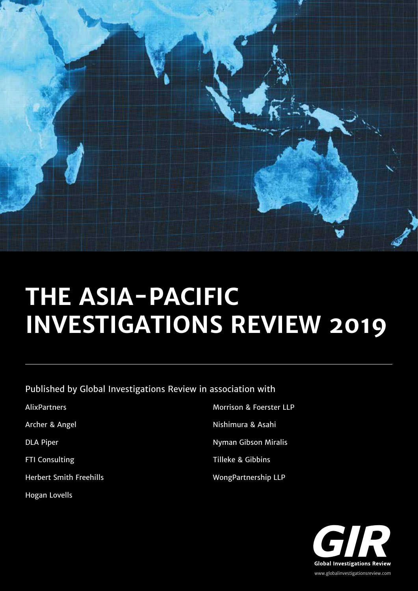

# **THE ASIA-PACIFIC INVESTIGATIONS REVIEW 2019**

Published by Global Investigations Review in association with

| <b>AlixPartners</b>            | <b>Morrison &amp; Foerster LLP</b> |
|--------------------------------|------------------------------------|
| Archer & Angel                 | Nishimura & Asahi                  |
| <b>DLA Piper</b>               | Nyman Gibson Miralis               |
| <b>FTI Consulting</b>          | <b>Tilleke &amp; Gibbins</b>       |
| <b>Herbert Smith Freehills</b> | <b>WongPartnership LLP</b>         |
|                                |                                    |

Hogan Lovells

**Global Investigations Review Global Investigations Review** www.globalinvestigationsreview.com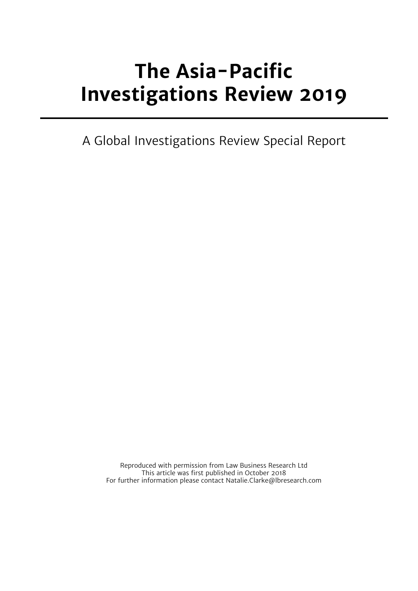# **The Asia-Pacific Investigations Review 2019**

A Global Investigations Review Special Report

Reproduced with permission from Law Business Research Ltd This article was first published in October 2018 For further information please contact Natalie.Clarke@lbresearch.com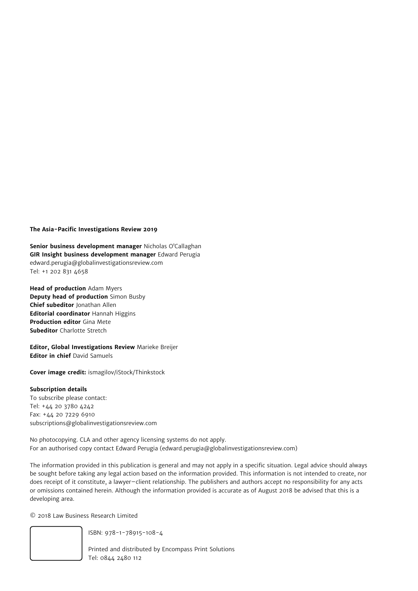# **The Asia-Pacific Investigations Review 2019**

**Senior business development manager** Nicholas O'Callaghan **GIR Insight business development manager** Edward Perugia edward.perugia@globalinvestigationsreview.com Tel: +1 202 831 4658

**Head of production** Adam Myers **Deputy head of production** Simon Busby **Chief subeditor** Jonathan Allen **Editorial coordinator** Hannah Higgins **Production editor** Gina Mete **Subeditor** Charlotte Stretch

**Editor, Global Investigations Review** Marieke Breijer **Editor in chief** David Samuels

**Cover image credit:** ismagilov/iStock/Thinkstock

### **Subscription details**

To subscribe please contact: Tel: +44 20 3780 4242 Fax: +44 20 7229 6910 subscriptions@globalinvestigationsreview.com

No photocopying. CLA and other agency licensing systems do not apply. For an authorised copy contact Edward Perugia (edward.perugia@globalinvestigationsreview.com)

The information provided in this publication is general and may not apply in a specific situation. Legal advice should always be sought before taking any legal action based on the information provided. This information is not intended to create, nor does receipt of it constitute, a lawyer–client relationship. The publishers and authors accept no responsibility for any acts or omissions contained herein. Although the information provided is accurate as of August 2018 be advised that this is a developing area.

© 2018 Law Business Research Limited



ISBN: 978-1-78915-108-4

Printed and distributed by Encompass Print Solutions Tel: 0844 2480 112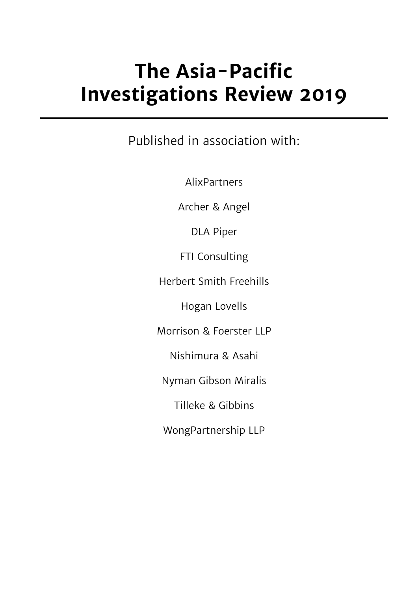# **The Asia-Pacific Investigations Review 2019**

Published in association with:

AlixPartners

Archer & Angel

DLA Piper

FTI Consulting

Herbert Smith Freehills

Hogan Lovells

Morrison & Foerster LLP

Nishimura & Asahi

Nyman Gibson Miralis

Tilleke & Gibbins

WongPartnership LLP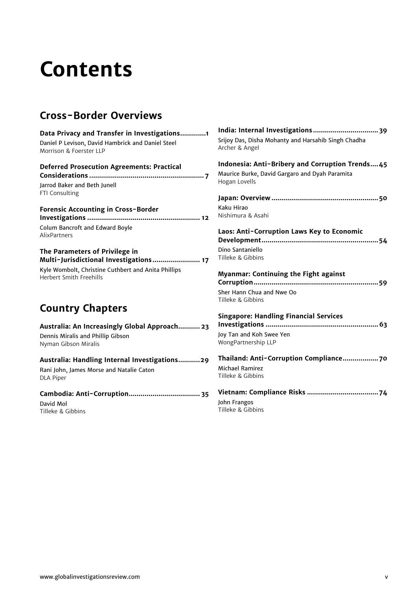# **Contents**

# **Cross-Border Overviews**

| Data Privacy and Transfer in Investigations1        | India: Internal Investigations 39                   |
|-----------------------------------------------------|-----------------------------------------------------|
| Daniel P Levison, David Hambrick and Daniel Steel   | Srijoy Das, Disha Mohanty and Harsahib Singh Chadha |
| Morrison & Foerster LLP                             | Archer & Angel                                      |
| <b>Deferred Prosecution Agreements: Practical</b>   | Indonesia: Anti-Bribery and Corruption Trends45     |
|                                                     | Maurice Burke, David Gargaro and Dyah Paramita      |
| Jarrod Baker and Beth Junell                        | Hogan Lovells                                       |
| FTI Consulting                                      |                                                     |
| Forensic Accounting in Cross-Border                 | Kaku Hirao                                          |
|                                                     | Nishimura & Asahi                                   |
| Colum Bancroft and Edward Boyle                     | Laos: Anti-Corruption Laws Key to Economic          |
| AlixPartners                                        |                                                     |
| The Parameters of Privilege in                      | Dino Santaniello                                    |
| Multi-Jurisdictional Investigations 17              | Tilleke & Gibbins                                   |
| Kyle Wombolt, Christine Cuthbert and Anita Phillips | <b>Myanmar: Continuing the Fight against</b>        |
| <b>Herbert Smith Freehills</b>                      |                                                     |
|                                                     | Sher Hann Chua and Nwe Oo<br>Tilleke & Gibbins      |
| <b>Country Chapters</b>                             | <b>Singapore: Handling Financial Services</b>       |
| Australia: An Increasingly Global Approach 23       |                                                     |
| Dennis Miralis and Phillip Gibson                   | Joy Tan and Koh Swee Yen                            |
| Nyman Gibson Miralis                                | WongPartnership LLP                                 |
| Australia: Handling Internal Investigations29       |                                                     |
| Rani John, James Morse and Natalie Caton            | <b>Michael Ramirez</b>                              |
| <b>DLA Piper</b>                                    | Tilleke & Gibbins                                   |
|                                                     |                                                     |
| David Mol                                           | John Frangos                                        |
| Tilleke & Gibbins                                   | Tilleke & Gibbins                                   |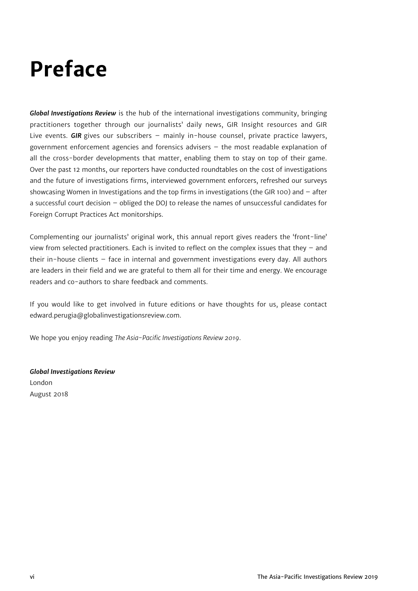# **Preface**

*Global Investigations Review* is the hub of the international investigations community, bringing practitioners together through our journalists' daily news, GIR Insight resources and GIR Live events. *GIR* gives our subscribers – mainly in-house counsel, private practice lawyers, government enforcement agencies and forensics advisers – the most readable explanation of all the cross-border developments that matter, enabling them to stay on top of their game. Over the past 12 months, our reporters have conducted roundtables on the cost of investigations and the future of investigations firms, interviewed government enforcers, refreshed our surveys showcasing Women in Investigations and the top firms in investigations (the GIR 100) and – after a successful court decision – obliged the DOJ to release the names of unsuccessful candidates for Foreign Corrupt Practices Act monitorships.

Complementing our journalists' original work, this annual report gives readers the 'front-line' view from selected practitioners. Each is invited to reflect on the complex issues that they – and their in-house clients – face in internal and government investigations every day. All authors are leaders in their field and we are grateful to them all for their time and energy. We encourage readers and co-authors to share feedback and comments.

If you would like to get involved in future editions or have thoughts for us, please contact edward.perugia@globalinvestigationsreview.com.

We hope you enjoy reading *The Asia-Pacific Investigations Review 2019*.

*Global Investigations Review* London August 2018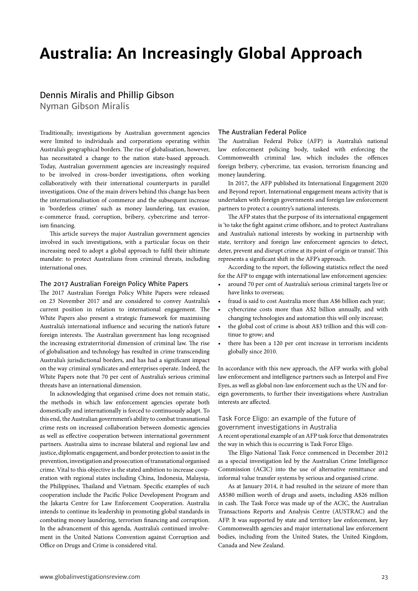# **Australia: An Increasingly Global Approach**

# Dennis Miralis and Phillip Gibson

Nyman Gibson Miralis

Traditionally, investigations by Australian government agencies were limited to individuals and corporations operating within Australia's geographical borders. The rise of globalisation, however, has necessitated a change to the nation state-based approach. Today, Australian government agencies are increasingly required to be involved in cross-border investigations, often working collaboratively with their international counterparts in parallel investigations. One of the main drivers behind this change has been the internationalisation of commerce and the subsequent increase in 'borderless crimes' such as money laundering, tax evasion, e-commerce fraud, corruption, bribery, cybercrime and terrorism financing.

This article surveys the major Australian government agencies involved in such investigations, with a particular focus on their increasing need to adopt a global approach to fulfil their ultimate mandate: to protect Australians from criminal threats, including international ones.

# The 2017 Australian Foreign Policy White Papers

The 2017 Australian Foreign Policy White Papers were released on 23 November 2017 and are considered to convey Australia's current position in relation to international engagement. The White Papers also present a strategic framework for maximising Australia's international influence and securing the nation's future foreign interests. The Australian government has long recognised the increasing extraterritorial dimension of criminal law. The rise of globalisation and technology has resulted in crime transcending Australia's jurisdictional borders, and has had a significant impact on the way criminal syndicates and enterprises operate. Indeed, the White Papers note that 70 per cent of Australia's serious criminal threats have an international dimension.

In acknowledging that organised crime does not remain static, the methods in which law enforcement agencies operate both domestically and internationally is forced to continuously adapt. To this end, the Australian government's ability to combat transnational crime rests on increased collaboration between domestic agencies as well as effective cooperation between international government partners. Australia aims to increase bilateral and regional law and justice, diplomatic engagement, and border protection to assist in the prevention, investigation and prosecution of transnational organised crime. Vital to this objective is the stated ambition to increase cooperation with regional states including China, Indonesia, Malaysia, the Philippines, Thailand and Vietnam. Specific examples of such cooperation include the Pacific Police Development Program and the Jakarta Centre for Law Enforcement Cooperation. Australia intends to continue its leadership in promoting global standards in combating money laundering, terrorism financing and corruption. In the advancement of this agenda, Australia's continued involvement in the United Nations Convention against Corruption and Office on Drugs and Crime is considered vital.

#### The Australian Federal Police

The Australian Federal Police (AFP) is Australia's national enforcement policing body, tasked with enforcing the Commonwealth criminal law, which includes the offences foreign bribery, cybercrime, tax evasion, terrorism financing and money laundering.

In 2017, the AFP published its International Engagement 2020 and Beyond report. International engagement means activity that is undertaken with foreign governments and foreign law enforcement partners to protect a country's national interests.

The AFP states that the purpose of its international engagement is 'to take the fight against crime offshore, and to protect Australians and Australia's national interests by working in partnership with state, territory and foreign law enforcement agencies to detect, deter, prevent and disrupt crime at its point of origin or transit'. This represents a significant shift in the AFP's approach.

According to the report, the following statistics reflect the need for the AFP to engage with international law enforcement agencies:

- around 70 per cent of Australia's serious criminal targets live or have links to overseas;
- fraud is said to cost Australia more than A\$6 billion each year;
- cybercrime costs more than A\$2 billion annually, and with changing technologies and automation this will only increase;
- the global cost of crime is about A\$3 trillion and this will continue to grow; and
- there has been a 120 per cent increase in terrorism incidents globally since 2010.

In accordance with this new approach, the AFP works with global law enforcement and intelligence partners such as Interpol and Five Eyes, as well as global non-law enforcement such as the UN and foreign governments, to further their investigations where Australian interests are affected.

# Task Force Eligo: an example of the future of government investigations in Australia

A recent operational example of an AFP task force that demonstrates the way in which this is occurring is Task Force Eligo.

The Eligo National Task Force commenced in December 2012 as a special investigation led by the Australian Crime Intelligence Commission (ACIC) into the use of alternative remittance and informal value transfer systems by serious and organised crime.

As at January 2014, it had resulted in the seizure of more than A\$580 million worth of drugs and assets, including A\$26 million in cash. The Task Force was made up of the ACIC, the Australian Transactions Reports and Analysis Centre (AUSTRAC) and the AFP. It was supported by state and territory law enforcement, key Commonwealth agencies and major international law enforcement bodies, including from the United States, the United Kingdom, Canada and New Zealand.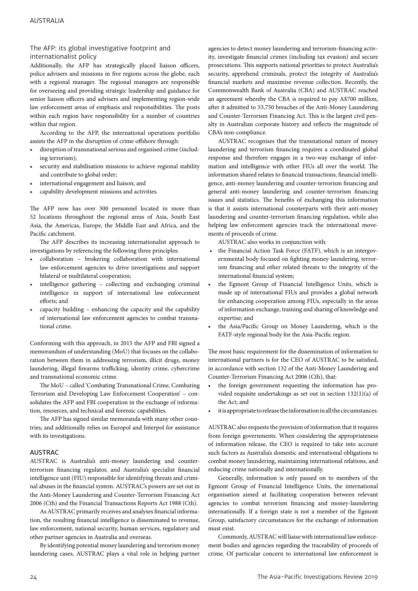# The AFP: its global investigative footprint and internationalist policy

Additionally, the AFP has strategically placed liaison officers, police advisers and missions in five regions across the globe, each with a regional manager. The regional managers are responsible for overseeing and providing strategic leadership and guidance for senior liaison officers and advisers and implementing region-wide law enforcement areas of emphasis and responsibilities. The posts within each region have responsibility for a number of countries within that region.

According to the AFP, the international operations portfolio assists the AFP in the disruption of crime offshore through:

- disruption of transnational serious and organised crime (including terrorism);
- security and stabilisation missions to achieve regional stability and contribute to global order;
- international engagement and liaison; and
- capability development missions and activities.

The AFP now has over 300 personnel located in more than 52 locations throughout the regional areas of Asia, South East Asia, the Americas, Europe, the Middle East and Africa, and the Pacific catchment.

The AFP describes its increasing internationalist approach to investigations by referencing the following three principles:

- collaboration brokering collaboration with international law enforcement agencies to drive investigations and support bilateral or multilateral cooperation;
- intelligence gathering collecting and exchanging criminal intelligence in support of international law enforcement efforts; and
- capacity building enhancing the capacity and the capability of international law enforcement agencies to combat transnational crime.

Conforming with this approach, in 2015 the AFP and FBI signed a memorandum of understanding (MoU) that focuses on the collaboration between them in addressing terrorism, illicit drugs, money laundering, illegal firearms trafficking, identity crime, cybercrime and transnational economic crime.

The MoU – called 'Combating Transnational Crime, Combating Terrorism and Developing Law Enforcement Cooperation' – consolidates the AFP and FBI cooperation in the exchange of information, resources, and technical and forensic capabilities.

The AFP has signed similar memoranda with many other countries, and additionally relies on Europol and Interpol for assistance with its investigations.

### AUSTRAC

AUSTRAC is Australia's anti-money laundering and counterterrorism financing regulator, and Australia's specialist financial intelligence unit (FIU) responsible for identifying threats and criminal abuses in the financial system. AUSTRAC's powers are set out in the Anti-Money Laundering and Counter-Terrorism Financing Act 2006 (Cth) and the Financial Transactions Reports Act 1988 (Cth).

As AUSTRAC primarily receives and analyses financial information, the resulting financial intelligence is disseminated to revenue, law enforcement, national security, human services, regulatory and other partner agencies in Australia and overseas.

By identifying potential money laundering and terrorism money laundering cases, AUSTRAC plays a vital role in helping partner

agencies to detect money laundering and terrorism-financing activity, investigate financial crimes (including tax evasion) and secure prosecutions. This supports national priorities to protect Australia's security, apprehend criminals, protect the integrity of Australia's financial markets and maximise revenue collection. Recently, the Commonwealth Bank of Australia (CBA) and AUSTRAC reached an agreement whereby the CBA is required to pay A\$700 million, after it admitted to 53,750 breaches of the Anti-Money Laundering and Counter-Terrorism Financing Act. This is the largest civil penalty in Australian corporate history and reflects the magnitude of CBA's non-compliance.

AUSTRAC recognises that the transnational nature of money laundering and terrorism financing requires a coordinated global response and therefore engages in a two-way exchange of information and intelligence with other FIUs all over the world. The information shared relates to financial transactions, financial intelligence, anti-money laundering and counter-terrorism financing and general anti-money laundering and counter-terrorism financing issues and statistics. The benefits of exchanging this information is that it assists international counterparts with their anti-money laundering and counter-terrorism financing regulation, while also helping law enforcement agencies track the international movements of proceeds of crime.

AUSTRAC also works in conjunction with:

- the Financial Action Task Force (FATF), which is an intergovernmental body focused on fighting money laundering, terrorism financing and other related threats to the integrity of the international financial system;
- the Egmont Group of Financial Intelligence Units, which is made up of international FIUs and provides a global network for enhancing cooperation among FIUs, especially in the areas of information exchange, training and sharing of knowledge and expertise; and
- the Asia/Pacific Group on Money Laundering, which is the FATF-style regional body for the Asia-Pacific region.

The most basic requirement for the dissemination of information to international partners is for the CEO of AUSTRAC to be satisfied, in accordance with section 132 of the Anti-Money Laundering and Counter-Terrorism Financing Act 2006 (Cth), that:

- the foreign government requesting the information has provided requisite undertakings as set out in section 132(1)(a) of the Act; and
- it is appropriate to release the information in all the circumstances.

AUSTRAC also requests the provision of information that it requires from foreign governments. When considering the appropriateness of information release, the CEO is required to take into account such factors as Australia's domestic and international obligations to combat money laundering, maintaining international relations, and reducing crime nationally and internationally.

Generally, information is only passed on to members of the Egmont Group of Financial Intelligence Units, the international organisation aimed at facilitating cooperation between relevant agencies to combat terrorism financing and money-laundering internationally. If a foreign state is not a member of the Egmont Group, satisfactory circumstances for the exchange of information must exist.

Commonly, AUSTRAC will liaise with international law enforcement bodies and agencies regarding the traceability of proceeds of crime. Of particular concern to international law enforcement is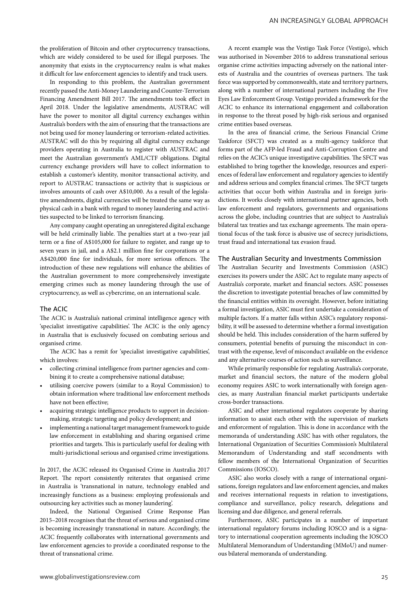the proliferation of Bitcoin and other cryptocurrency transactions, which are widely considered to be used for illegal purposes. The anonymity that exists in the cryptocurrency realm is what makes it difficult for law enforcement agencies to identify and track users.

In responding to this problem, the Australian government recently passed the Anti-Money Laundering and Counter-Terrorism Financing Amendment Bill 2017. The amendments took effect in April 2018. Under the legislative amendments, AUSTRAC will have the power to monitor all digital currency exchanges within Australia's borders with the aim of ensuring that the transactions are not being used for money laundering or terrorism-related activities. AUSTRAC will do this by requiring all digital currency exchange providers operating in Australia to register with AUSTRAC and meet the Australian government's AML/CTF obligations. Digital currency exchange providers will have to collect information to establish a customer's identity, monitor transactional activity, and report to AUSTRAC transactions or activity that is suspicious or involves amounts of cash over A\$10,000. As a result of the legislative amendments, digital currencies will be treated the same way as physical cash in a bank with regard to money laundering and activities suspected to be linked to terrorism financing.

Any company caught operating an unregistered digital exchange will be held criminally liable. The penalties start at a two-year jail term or a fine of A\$105,000 for failure to register, and range up to seven years in jail, and a A\$2.1 million fine for corporations or a A\$420,000 fine for individuals, for more serious offences. The introduction of these new regulations will enhance the abilities of the Australian government to more comprehensively investigate emerging crimes such as money laundering through the use of cryptocurrency, as well as cybercrime, on an international scale.

#### The ACIC

The ACIC is Australia's national criminal intelligence agency with 'specialist investigative capabilities'. The ACIC is the only agency in Australia that is exclusively focused on combating serious and organised crime.

The ACIC has a remit for 'specialist investigative capabilities', which involves:

- collecting criminal intelligence from partner agencies and combining it to create a comprehensive national database;
- utilising coercive powers (similar to a Royal Commission) to obtain information where traditional law enforcement methods have not been effective;
- acquiring strategic intelligence products to support in decisionmaking, strategic targeting and policy development; and
- implementing a national target management framework to guide law enforcement in establishing and sharing organised crime priorities and targets. This is particularly useful for dealing with multi-jurisdictional serious and organised crime investigations.

In 2017, the ACIC released its Organised Crime in Australia 2017 Report. The report consistently reiterates that organised crime in Australia is 'transnational in nature, technology enabled and increasingly functions as a business: employing professionals and outsourcing key activities such as money laundering'.

Indeed, the National Organised Crime Response Plan 2015–2018 recognises that the threat of serious and organised crime is becoming increasingly transnational in nature. Accordingly, the ACIC frequently collaborates with international governments and law enforcement agencies to provide a coordinated response to the threat of transnational crime.

A recent example was the Vestigo Task Force (Vestigo), which was authorised in November 2016 to address transnational serious organise crime activities impacting adversely on the national interests of Australia and the countries of overseas partners. The task force was supported by commonwealth, state and territory partners, along with a number of international partners including the Five Eyes Law Enforcement Group. Vestigo provided a framework for the ACIC to enhance its international engagement and collaboration in response to the threat posed by high-risk serious and organised crime entities based overseas.

In the area of financial crime, the Serious Financial Crime Taskforce (SFCT) was created as a multi-agency taskforce that forms part of the AFP-led Fraud and Anti-Corruption Centre and relies on the ACIC's unique investigative capabilities. The SFCT was established to bring together the knowledge, resources and experiences of federal law enforcement and regulatory agencies to identify and address serious and complex financial crimes. The SFCT targets activities that occur both within Australia and in foreign jurisdictions. It works closely with international partner agencies, both law enforcement and regulators, governments and organisations across the globe, including countries that are subject to Australia's bilateral tax treaties and tax exchange agreements. The main operational focus of the task force is abusive use of secrecy jurisdictions, trust fraud and international tax evasion fraud.

## The Australian Security and Investments Commission

The Australian Security and Investments Commission (ASIC) exercises its powers under the ASIC Act to regulate many aspects of Australia's corporate, market and financial sectors. ASIC possesses the discretion to investigate potential breaches of law committed by the financial entities within its oversight. However, before initiating a formal investigation, ASIC must first undertake a consideration of multiple factors. If a matter falls within ASIC's regulatory responsibility, it will be assessed to determine whether a formal investigation should be held. This includes consideration of the harm suffered by consumers, potential benefits of pursuing the misconduct in contrast with the expense, level of misconduct available on the evidence and any alternative courses of action such as surveillance.

While primarily responsible for regulating Australia's corporate, market and financial sectors, the nature of the modern global economy requires ASIC to work internationally with foreign agencies, as many Australian financial market participants undertake cross-border transactions.

ASIC and other international regulators cooperate by sharing information to assist each other with the supervision of markets and enforcement of regulation. This is done in accordance with the memoranda of understanding ASIC has with other regulators, the International Organization of Securities Commission's Multilateral Memorandum of Understanding and staff secondments with fellow members of the International Organization of Securities Commissions (IOSCO).

ASIC also works closely with a range of international organisations, foreign regulators and law enforcement agencies, and makes and receives international requests in relation to investigations, compliance and surveillance, policy research, delegations and licensing and due diligence, and general referrals.

Furthermore, ASIC participates in a number of important international regulatory forums including IOSCO and is a signatory to international cooperation agreements including the IOSCO Multilateral Memorandum of Understanding (MMoU) and numerous bilateral memoranda of understanding.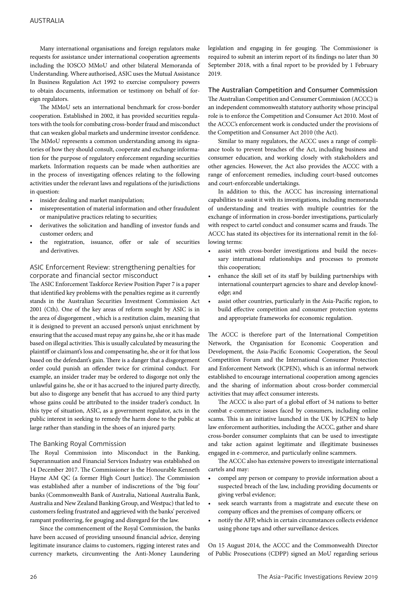Many international organisations and foreign regulators make requests for assistance under international cooperation agreements including the IOSCO MMoU and other bilateral Memoranda of Understanding. Where authorised, ASIC uses the Mutual Assistance In Business Regulation Act 1992 to exercise compulsory powers to obtain documents, information or testimony on behalf of foreign regulators.

The MMoU sets an international benchmark for cross-border cooperation. Established in 2002, it has provided securities regulators with the tools for combating cross-border fraud and misconduct that can weaken global markets and undermine investor confidence. The MMoU represents a common understanding among its signatories of how they should consult, cooperate and exchange information for the purpose of regulatory enforcement regarding securities markets. Information requests can be made when authorities are in the process of investigating offences relating to the following activities under the relevant laws and regulations of the jurisdictions in question:

- insider dealing and market manipulation;
- misrepresentation of material information and other fraudulent or manipulative practices relating to securities;
- derivatives the solicitation and handling of investor funds and customer orders; and
- the registration, issuance, offer or sale of securities and derivatives.

# ASIC Enforcement Review: strengthening penalties for corporate and financial sector misconduct

The ASIC Enforcement Taskforce Review Position Paper 7 is a paper that identified key problems with the penalties regime as it currently stands in the Australian Securities Investment Commission Act 2001 (Cth). One of the key areas of reform sought by ASIC is in the area of disgorgement , which is a restitution claim, meaning that it is designed to prevent an accused person's unjust enrichment by ensuring that the accused must repay any gains he, she or it has made based on illegal activities. This is usually calculated by measuring the plaintiff or claimant's loss and compensating he, she or it for that loss based on the defendant's gain. There is a danger that a disgorgement order could punish an offender twice for criminal conduct. For example, an insider trader may be ordered to disgorge not only the unlawful gains he, she or it has accrued to the injured party directly, but also to disgorge any benefit that has accrued to any third party whose gains could be attributed to the insider trader's conduct. In this type of situation, ASIC, as a government regulator, acts in the public interest in seeking to remedy the harm done to the public at large rather than standing in the shoes of an injured party.

### The Banking Royal Commission

The Royal Commission into Misconduct in the Banking, Superannuation and Financial Services Industry was established on 14 December 2017. The Commissioner is the Honourable Kenneth Hayne AM QC (a former High Court Justice). The Commission was established after a number of indiscretions of the 'big four' banks (Commonwealth Bank of Australia, National Australia Bank, Australia and New Zealand Banking Group, and Westpac) that led to customers feeling frustrated and aggrieved with the banks' perceived rampant profiteering, fee gouging and disregard for the law.

Since the commencement of the Royal Commission, the banks have been accused of providing unsound financial advice, denying legitimate insurance claims to customers, rigging interest rates and currency markets, circumventing the Anti-Money Laundering legislation and engaging in fee gouging. The Commissioner is required to submit an interim report of its findings no later than 30 September 2018, with a final report to be provided by 1 February 2019.

# The Australian Competition and Consumer Commission

The Australian Competition and Consumer Commission (ACCC) is an independent commonwealth statutory authority whose principal role is to enforce the Competition and Consumer Act 2010. Most of the ACCC's enforcement work is conducted under the provisions of the Competition and Consumer Act 2010 (the Act).

Similar to many regulators, the ACCC uses a range of compliance tools to prevent breaches of the Act, including business and consumer education, and working closely with stakeholders and other agencies. However, the Act also provides the ACCC with a range of enforcement remedies, including court-based outcomes and court-enforceable undertakings.

In addition to this, the ACCC has increasing international capabilities to assist it with its investigations, including memoranda of understanding and treaties with multiple countries for the exchange of information in cross-border investigations, particularly with respect to cartel conduct and consumer scams and frauds. The ACCC has stated its objectives for its international remit in the following terms:

- assist with cross-border investigations and build the necessary international relationships and processes to promote this cooperation;
- enhance the skill set of its staff by building partnerships with international counterpart agencies to share and develop knowledge; and
- assist other countries, particularly in the Asia-Pacific region, to build effective competition and consumer protection systems and appropriate frameworks for economic regulation.

The ACCC is therefore part of the International Competition Network, the Organisation for Economic Cooperation and Development, the Asia-Pacific Economic Cooperation, the Seoul Competition Forum and the International Consumer Protection and Enforcement Network (ICPEN), which is an informal network established to encourage international cooperation among agencies and the sharing of information about cross-border commercial activities that may affect consumer interests.

The ACCC is also part of a global effort of 34 nations to better combat e-commerce issues faced by consumers, including online scams. This is an initiative launched in the UK by ICPEN to help law enforcement authorities, including the ACCC, gather and share cross-border consumer complaints that can be used to investigate and take action against legitimate and illegitimate businesses engaged in e-commerce, and particularly online scammers.

The ACCC also has extensive powers to investigate international cartels and may:

- compel any person or company to provide information about a suspected breach of the law, including providing documents or giving verbal evidence;
- seek search warrants from a magistrate and execute these on company offices and the premises of company officers; or
- notify the AFP, which in certain circumstances collects evidence using phone taps and other surveillance devices.

On 15 August 2014, the ACCC and the Commonwealth Director of Public Prosecutions (CDPP) signed an MoU regarding serious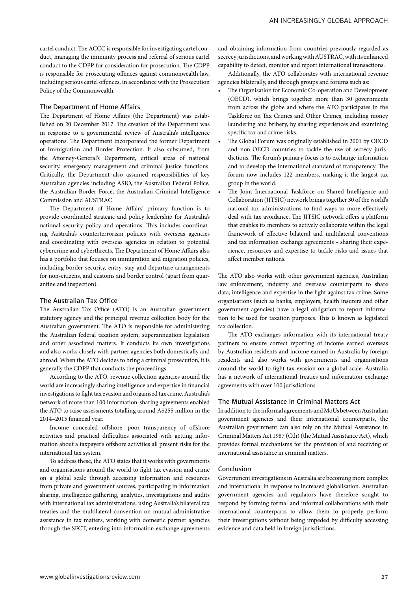cartel conduct. The ACCC is responsible for investigating cartel conduct, managing the immunity process and referral of serious cartel conduct to the CDPP for consideration for prosecution. The CDPP is responsible for prosecuting offences against commonwealth law, including serious cartel offences, in accordance with the Prosecution Policy of the Commonwealth.

#### The Department of Home Affairs

The Department of Home Affairs (the Department) was established on 20 December 2017. The creation of the Department was in response to a governmental review of Australia's intelligence operations. The Department incorporated the former Department of Immigration and Border Protection. It also subsumed, from the Attorney-General's Department, critical areas of national security, emergency management and criminal justice functions. Critically, the Department also assumed responsibilities of key Australian agencies including ASIO, the Australian Federal Police, the Australian Border Force, the Australian Criminal Intelligence Commission and AUSTRAC.

The Department of Home Affairs' primary function is to provide coordinated strategic and policy leadership for Australia's national security policy and operations. This includes coordinating Australia's counterterrorism policies with overseas agencies and coordinating with overseas agencies in relation to potential cybercrime and cyberthreats. The Department of Home Affairs also has a portfolio that focuses on immigration and migration policies, including border security, entry, stay and departure arrangements for non-citizens, and customs and border control (apart from quarantine and inspection).

### The Australian Tax Office

The Australian Tax Office (ATO) is an Australian government statutory agency and the principal revenue collection body for the Australian government. The ATO is responsible for administering the Australian federal taxation system, superannuation legislation and other associated matters. It conducts its own investigations and also works closely with partner agencies both domestically and abroad. When the ATO decides to bring a criminal prosecution, it is generally the CDPP that conducts the proceedings.

According to the ATO, revenue collection agencies around the world are increasingly sharing intelligence and expertise in financial investigations to fight tax evasion and organised tax crime. Australia's network of more than 100 information-sharing agreements enabled the ATO to raise assessments totalling around A\$255 million in the 2014–2015 financial year.

Income concealed offshore, poor transparency of offshore activities and practical difficulties associated with getting information about a taxpayer's offshore activities all present risks for the international tax system.

To address these, the ATO states that it works with governments and organisations around the world to fight tax evasion and crime on a global scale through accessing information and resources from private and government sources, participating in information sharing, intelligence gathering, analytics, investigations and audits with international tax administrations, using Australia's bilateral tax treaties and the multilateral convention on mutual administrative assistance in tax matters, working with domestic partner agencies through the SFCT, entering into information exchange agreements

and obtaining information from countries previously regarded as secrecy jurisdictions, and working with AUSTRAC, with its enhanced capability to detect, monitor and report international transactions.

Additionally, the ATO collaborates with international revenue agencies bilaterally, and through groups and forums such as:

- The Organisation for Economic Co-operation and Development (OECD), which brings together more than 30 governments from across the globe and where the ATO participates in the Taskforce on Tax Crimes and Other Crimes, including money laundering and bribery, by sharing experiences and examining specific tax and crime risks.
- The Global Forum was originally established in 2001 by OECD and non-OECD countries to tackle the use of secrecy jurisdictions. The forum's primary focus is to exchange information and to develop the international standard of transparency. The forum now includes 122 members, making it the largest tax group in the world.
- The Joint International Taskforce on Shared Intelligence and Collaboration (JITSIC) network brings together 30 of the world's national tax administrations to find ways to more effectively deal with tax avoidance. The JITSIC network offers a platform that enables its members to actively collaborate within the legal framework of effective bilateral and multilateral conventions and tax information exchange agreements – sharing their experience, resources and expertise to tackle risks and issues that affect member nations.

The ATO also works with other government agencies, Australian law enforcement, industry and overseas counterparts to share data, intelligence and expertise in the fight against tax crime. Some organisations (such as banks, employers, health insurers and other government agencies) have a legal obligation to report information to be used for taxation purposes. This is known as legislated tax collection.

The ATO exchanges information with its international treaty partners to ensure correct reporting of income earned overseas by Australian residents and income earned in Australia by foreign residents and also works with governments and organisations around the world to fight tax evasion on a global scale. Australia has a network of international treaties and information exchange agreements with over 100 jurisdictions.

#### The Mutual Assistance in Criminal Matters Act

In addition to the informal agreements and MoUs between Australian government agencies and their international counterparts, the Australian government can also rely on the Mutual Assistance in Criminal Matters Act 1987 (Cth) (the Mutual Assistance Act), which provides formal mechanisms for the provision of and receiving of international assistance in criminal matters.

### Conclusion

Government investigations in Australia are becoming more complex and international in response to increased globalisation. Australian government agencies and regulators have therefore sought to respond by forming formal and informal collaborations with their international counterparts to allow them to properly perform their investigations without being impeded by difficulty accessing evidence and data held in foreign jurisdictions.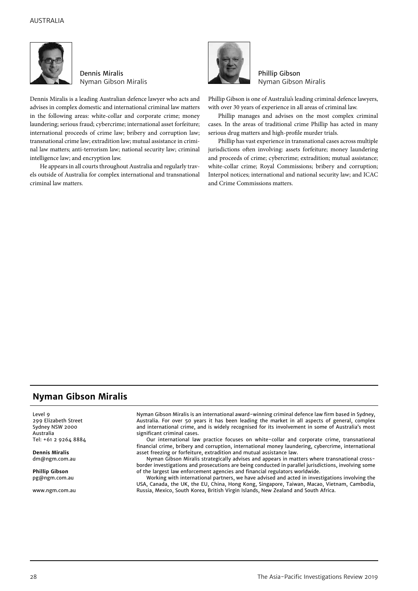

Dennis Miralis Nyman Gibson Miralis

Dennis Miralis is a leading Australian defence lawyer who acts and advises in complex domestic and international criminal law matters in the following areas: white-collar and corporate crime; money laundering; serious fraud; cybercrime; international asset forfeiture; international proceeds of crime law; bribery and corruption law; transnational crime law; extradition law; mutual assistance in criminal law matters; anti-terrorism law; national security law; criminal intelligence law; and encryption law.

He appears in all courts throughout Australia and regularly travels outside of Australia for complex international and transnational criminal law matters.



Phillip Gibson Nyman Gibson Miralis

Phillip Gibson is one of Australia's leading criminal defence lawyers, with over 30 years of experience in all areas of criminal law.

Phillip manages and advises on the most complex criminal cases. In the areas of traditional crime Phillip has acted in many serious drug matters and high-profile murder trials.

Phillip has vast experience in transnational cases across multiple jurisdictions often involving: assets forfeiture; money laundering and proceeds of crime; cybercrime; extradition; mutual assistance; white-collar crime; Royal Commissions; bribery and corruption; Interpol notices; international and national security law; and ICAC and Crime Commissions matters.

# **Nyman Gibson Miralis**

Level 9 299 Elizabeth Street Sydney NSW 2000 Australia Tel: +61 2 9264 8884

**Dennis Miralis** dm@ngm.com.au

**Phillip Gibson** pg@ngm.com.au

www.ngm.com.au

Nyman Gibson Miralis is an international award-winning criminal defence law firm based in Sydney, Australia. For over 50 years it has been leading the market in all aspects of general, complex and international crime, and is widely recognised for its involvement in some of Australia's most significant criminal cases.

Our international law practice focuses on white-collar and corporate crime, transnational financial crime, bribery and corruption, international money laundering, cybercrime, international asset freezing or forfeiture, extradition and mutual assistance law.

Nyman Gibson Miralis strategically advises and appears in matters where transnational crossborder investigations and prosecutions are being conducted in parallel jurisdictions, involving some of the largest law enforcement agencies and financial regulators worldwide.

Working with international partners, we have advised and acted in investigations involving the USA, Canada, the UK, the EU, China, Hong Kong, Singapore, Taiwan, Macao, Vietnam, Cambodia, Russia, Mexico, South Korea, British Virgin Islands, New Zealand and South Africa.